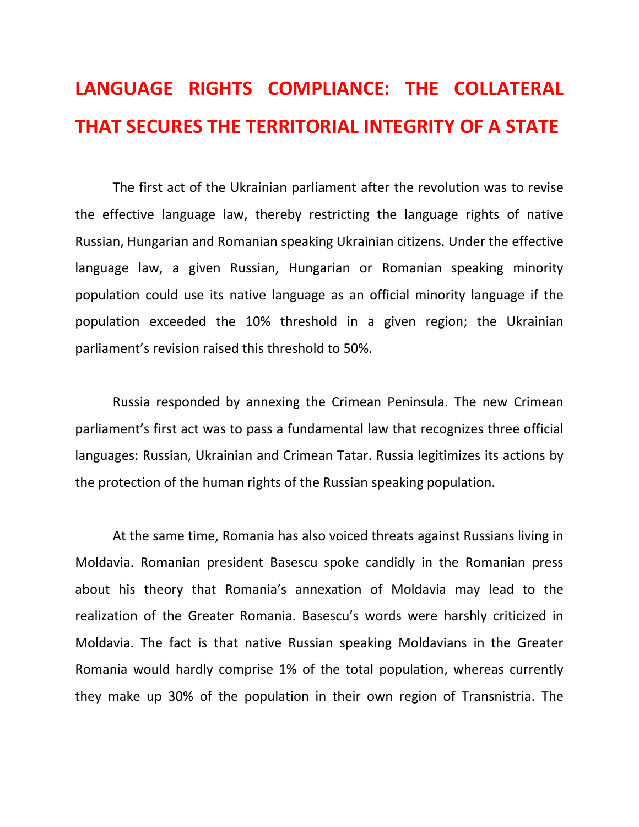## **LANGUAGE RIGHTS COMPLIANCE: THE COLLATERAL THAT SECURES THE TERRITORIAL INTEGRITY OF A STATE**

The first act of the Ukrainian parliament after the revolution was to revise the effective language law, thereby restricting the language rights of native Russian, Hungarian and Romanian speaking Ukrainian citizens. Under the effective language law, a given Russian, Hungarian or Romanian speaking minority population could use its native language as an official minority language if the population exceeded the 10% threshold in a given region; the Ukrainian parliament's revision raised this threshold to 50%.

Russia responded by annexing the Crimean Peninsula. The new Crimean parliament's first act was to pass a fundamental law that recognizes three official languages: Russian, Ukrainian and Crimean Tatar. Russia legitimizes its actions by the protection of the human rights of the Russian speaking population.

At the same time, Romania has also voiced threats against Russians living in Moldavia. Romanian president Basescu spoke candidly in the Romanian press about his theory that Romania's annexation of Moldavia may lead to the realization of the Greater Romania. Basescu's words were harshly criticized in Moldavia. The fact is that native Russian speaking Moldavians in the Greater Romania would hardly comprise 1% of the total population, whereas currently they make up 30% of the population in their own region of Transnistria. The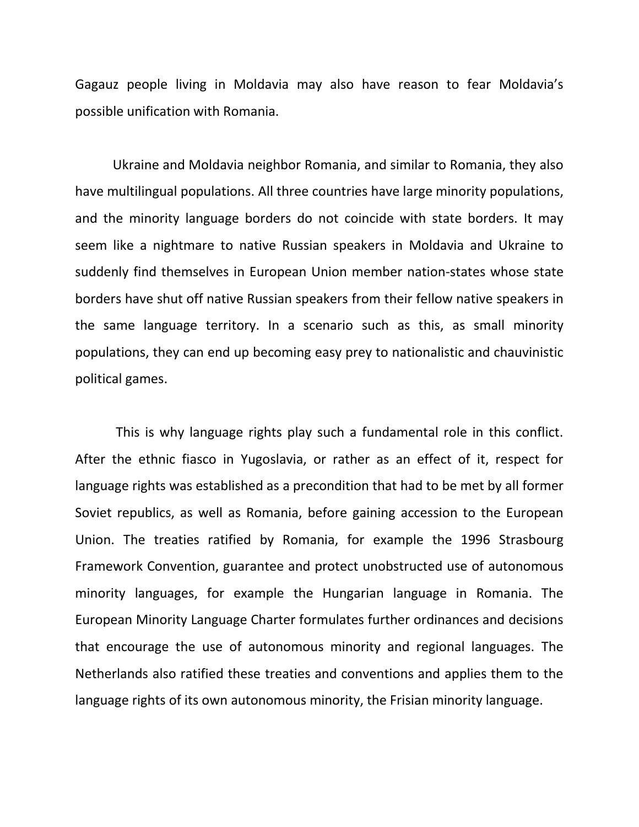Gagauz people living in Moldavia may also have reason to fear Moldavia's possible unification with Romania.

Ukraine and Moldavia neighbor Romania, and similar to Romania, they also have multilingual populations. All three countries have large minority populations, and the minority language borders do not coincide with state borders. It may seem like a nightmare to native Russian speakers in Moldavia and Ukraine to suddenly find themselves in European Union member nation-states whose state borders have shut off native Russian speakers from their fellow native speakers in the same language territory. In a scenario such as this, as small minority populations, they can end up becoming easy prey to nationalistic and chauvinistic political games.

This is why language rights play such a fundamental role in this conflict. After the ethnic fiasco in Yugoslavia, or rather as an effect of it, respect for language rights was established as a precondition that had to be met by all former Soviet republics, as well as Romania, before gaining accession to the European Union. The treaties ratified by Romania, for example the 1996 Strasbourg Framework Convention, guarantee and protect unobstructed use of autonomous minority languages, for example the Hungarian language in Romania. The European Minority Language Charter formulates further ordinances and decisions that encourage the use of autonomous minority and regional languages. The Netherlands also ratified these treaties and conventions and applies them to the language rights of its own autonomous minority, the Frisian minority language.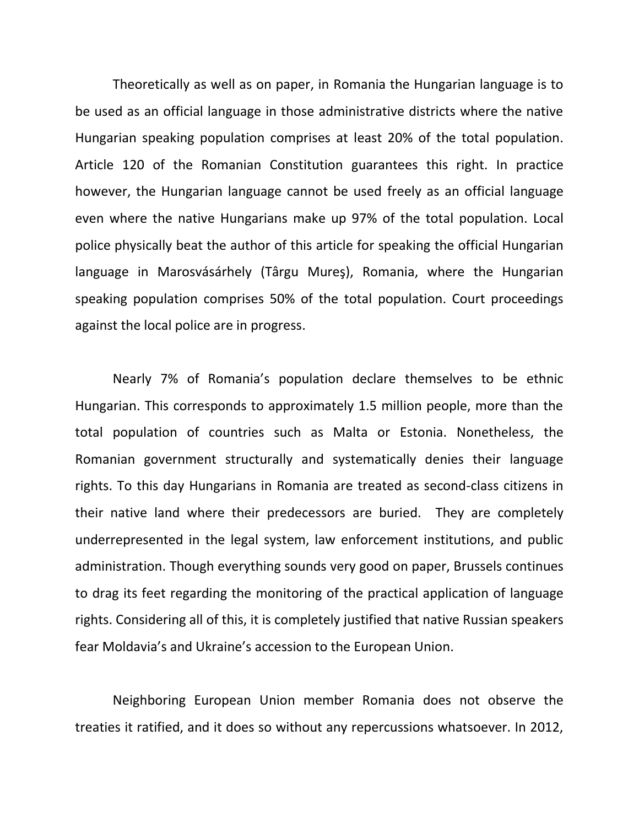Theoretically as well as on paper, in Romania the Hungarian language is to be used as an official language in those administrative districts where the native Hungarian speaking population comprises at least 20% of the total population. Article 120 of the Romanian Constitution guarantees this right. In practice however, the Hungarian language cannot be used freely as an official language even where the native Hungarians make up 97% of the total population. Local police physically beat the author of this article for speaking the official Hungarian language in Marosvásárhely (Târgu Mureş), Romania, where the Hungarian speaking population comprises 50% of the total population. Court proceedings against the local police are in progress.

Nearly 7% of Romania's population declare themselves to be ethnic Hungarian. This corresponds to approximately 1.5 million people, more than the total population of countries such as Malta or Estonia. Nonetheless, the Romanian government structurally and systematically denies their language rights. To this day Hungarians in Romania are treated as second-class citizens in their native land where their predecessors are buried. They are completely underrepresented in the legal system, law enforcement institutions, and public administration. Though everything sounds very good on paper, Brussels continues to drag its feet regarding the monitoring of the practical application of language rights. Considering all of this, it is completely justified that native Russian speakers fear Moldavia's and Ukraine's accession to the European Union.

Neighboring European Union member Romania does not observe the treaties it ratified, and it does so without any repercussions whatsoever. In 2012,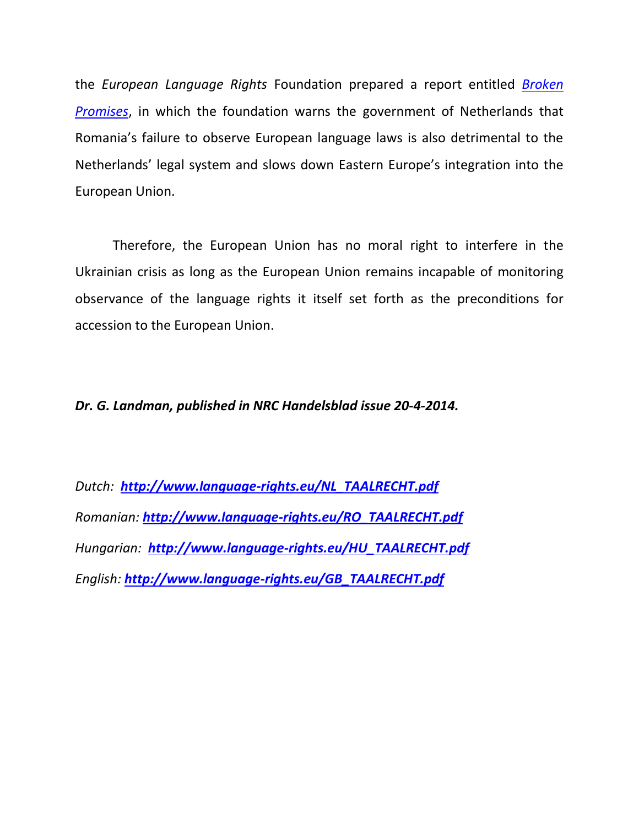the *European Language Rights* Foundation prepared a report entitled *[Broken](http://www.language-rights.eu/GEBROKEN_BELOFTEN.pdf)  [Promises](http://www.language-rights.eu/GEBROKEN_BELOFTEN.pdf)*, in which the foundation warns the government of Netherlands that Romania's failure to observe European language laws is also detrimental to the Netherlands' legal system and slows down Eastern Europe's integration into the European Union.

Therefore, the European Union has no moral right to interfere in the Ukrainian crisis as long as the European Union remains incapable of monitoring observance of the language rights it itself set forth as the preconditions for accession to the European Union.

*Dr. G. Landman, published in NRC Handelsblad issue 20-4-2014.*

*Dutch: [http://www.language-rights.eu/NL\\_TAALRECHT.pdf](http://www.language-rights.eu/NL_TAALRECHT.pdf)  Romanian: [http://www.language-rights.eu/RO\\_TAALRECHT.pdf](http://www.language-rights.eu/RO_TAALRECHT.pdf) Hungarian: [http://www.language-rights.eu/HU\\_TAALRECHT.pdf](http://www.language-rights.eu/HU_TAALRECHT.pdf) English: [http://www.language-rights.eu/GB\\_TAALRECHT.pdf](http://www.language-rights.eu/GB_TAALRECHT.pdf)*